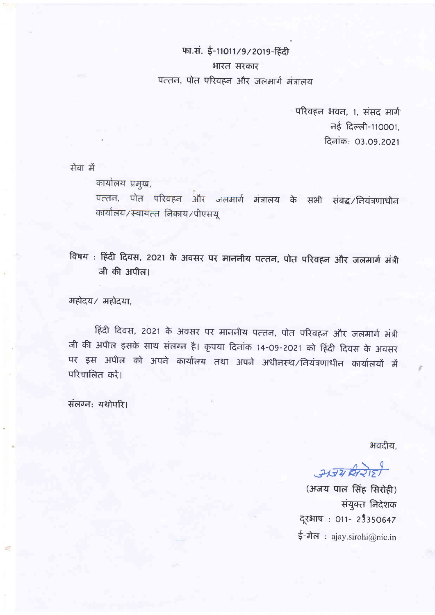## फा.सं. ई-11011/9/2019-हिंदी भारत सरकार पत्तन, पोत परिवहन और जलमार्ग मंत्रालय

परिवहन भवन, 1, संसद मार्ग नई दिल्ली-110001. दिनांक: 03.09.2021

सेवा में

कार्यालय प्रमुख,

पत्तन, पोत परिवहन और जलमार्ग मंत्रालय के सभी संबद्ध/नियंत्रणाधीन कार्यालय/स्वायत्त निकाय/पीएसयू

विषय: हिंदी दिवस, 2021 के अवसर पर माननीय पत्तन, पोत परिवहन और जलमार्ग मंत्री जी की अपील।

महोदय/ महोदया.

हिंदी दिवस, 2021 के अवसर पर माननीय पत्तन, पोत परिवहन और जलमार्ग मंत्री जी की अपील इसके साथ संलग्न है। कृपया दिनांक 14-09-2021 को हिंदी दिवस के अवसर पर इस अपील को अपने कार्यालय तथा अपने अधीनस्थ/नियंत्रणाधीन कार्यालयों में परिचालित करें।

संलग्न: यथोपरि।

भवदीय.

अजय विरोही

(अजय पाल सिंह सिरोही) संयुक्त निदेशक दूरभाष: 011- 23350647 ई-मेल: ajay.sirohi@nic.in